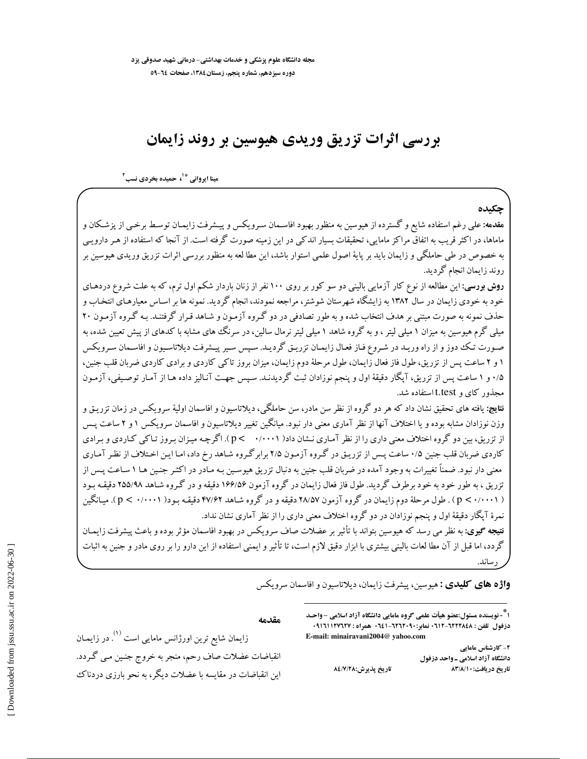## بررسی اثرات تزریق وریدی هیوسین بر روند زایمان

مینا ایروانی <sup>\*۱</sup>، حمیده بخردی نسب<sup>۲</sup>

چکىدە

**مقدمه:** علی رغم استفاده شایع و گسترده از هیوسین به منظور بهبود افاسـمان سـرویکس و پیـشرفت زایمـان توسـط برخـی از پزشـکان و ماماها، در اکثر قریب به اتفاق مراکز مامایی، تحقیقات بسیار اندکی در این زمینه صورت گرفته است. از آنجا که استفاده از هـر دارویـی به خصوص در طی حاملگی و زایمان باید بر پایهٔ اصول علمی استوار باشد، این مطا لعه به منظور بررسی اثرات تزریق وریدی هیوسین بر روند زايمان انجام گرديد.

**روش بورسی:** این مطالعه از نوع کار آزمایی بالینی دو سو کور بر روی ۱۰۰ نفر از زنان باردار شکم اول ترم، که به علت شروع دردهـای خود به خودی زایمان در سال ۱۳۸۲ به زایشگاه شهرستان شوشتر، مراجعه نمودند، انجام گردید. نمونه ها بر اسـاس معیارهـای انتخـاب و حذف نمونه به صورت مبتنی بر هدف انتخاب شده و به طور تصادفی در دو گـروه آزمـون و شـاهد قـرار گرفتنـد. بـه گـروه آزمـون ۲۰ میلی گرم هیوسین به میزان ۱ میلی لیتر ، و به گروه شاهد ۱ میلی لیتر نرمال سالین، در سرنگ های مشابه با کدهای از پیش تعیین شده، به صـورت تـك دوز و از راه وريـد در شـروع فـاز فعـال زايمـان تزريـق گرديـد. سـپس سـير پيـشرفت ديلاتاسـيون و افاسـمان سـرويكس ۱ و ۲ ساعت پس از تزریق، طول فاز فعال زایمان، طول مرحلهٔ دوم زایمان، میزان بروز تاکی کاردی و برادی کاردی ضربان قلب جنین، ۰/۵ و ۱ ساعت پس از تزریق، آپگار دقیقهٔ اول و پنجم نوزادان ثبت گردیدنـد. سـپس جهـت آنـالیز داده هـا از آمـار توصـیفی، آزمـون محذور کای و t.test استفاده شد.

**نتايج:** يافته هاي تحقيق نشان داد كه هر دو گروه از نظر سن مادر، سن حاملگي، ديلاتاسيون و افاسمان اوليهٔ سرويكس در زمان تزريـق و وزن نوزادان مشابه بوده و یا اختلاف آنها از نظر آماری معنی دار نبود. میانگین تغییر دیلاتاسیون و افاسمان سرویکس ۱ و ۲ ساعت پس از تزریق، بین دو گروه اختلاف معنی داری را از نظر آمـاری نـشان داد( ۰/۰۰۰۱ > p). اگرچـه میـزان بـروز تـاکمي کـاردي و بـرادي کاردی ضربان قلب جنین ۰/۵ ساعت پس از تزریـق در گـروه آزمـون ۲/۵ برابر گـروه شـاهد رخ داد، امـا ایـن اخـتلاف از نظـر آمـاری معنی دار نبود. ضمناً تغییرات به وجود آمده در ضربان قلب جنین به دنبال تزریق هیوسین بـه مـادر در اکثـر جنـین هـا ۱ سـاعت پـس از تزریق ، به طور خود به خود برطرف گردید. طول فاز فعال زایمان در گروه آزمون ۱۶۶/۵۶ دقیقه و در گروه شـاهد ۲۵۵/۹۸ دقیقـه بـود ( p < ۰/۰۰۰۱ ) . طول مرحلهٔ دوم زایمان در گروه آزمون ۲۸/۵۷ دقیقه و در گروه شـاهد ۴۷/۶۲ دقیقـه بـود( p < ۰/۰۰۰۱ ) . میـانگین نمرهٔ آیگار دقیقهٔ اول و پنجم نوزادان در دو گروه اختلاف معنی داری را از نظر آماری نشان نداد. **نتیجه گیوی:** به نظر می رسد که هیوسین بتواند با تأثیر بر عضلات صاف سرویکس در بهبود افاسمان مؤثر بوده و باعث پیشرفت زایمـان

گردد، اما قبل از آن مطا لعات بالینی بیشتری با ابزار دقیق لازم است، تا تأثیر و ایمنی استفاده از این دارو را بر روی مادر و جنین به اثبات

**واژه های کلیدی :** هیوسین، پیشرفت زایمان، دیلاتاسیون و افاسمان سرویکس

۱ ؓ - نویسنده مسئول:عضو هیأت علمی گروه مامایی دانشگاه آزاد اسلامی -واحـد دزفول تلفن : ١٢٢٢٨٤٨-١٢٦٢ نماير:١٠٦٢٦٢٠٩٠ همراه : ١٦٢٧٦٢٧١١٢٧٦٢٧. E-mail: minairavani2004@ yahoo.com

> ۲- کارشناس مامایی دانشگاه آزاد اسلامی ـ واحد دزفول تاریخ دریافت:۱۰/۸/۱۰ تاريخ پذيرش:٨٤/٧/٢٨

مقدمه

زایمان شایع ترین اورژانس مامایی است <sup>(۱)</sup>. در زایمـان انقباضات عضلات صاف رحم، منجر به خروج جنـين مـي گـردد. این انقباضات در مقایسه با عضلات دیگر، به نحو بارزی دردناک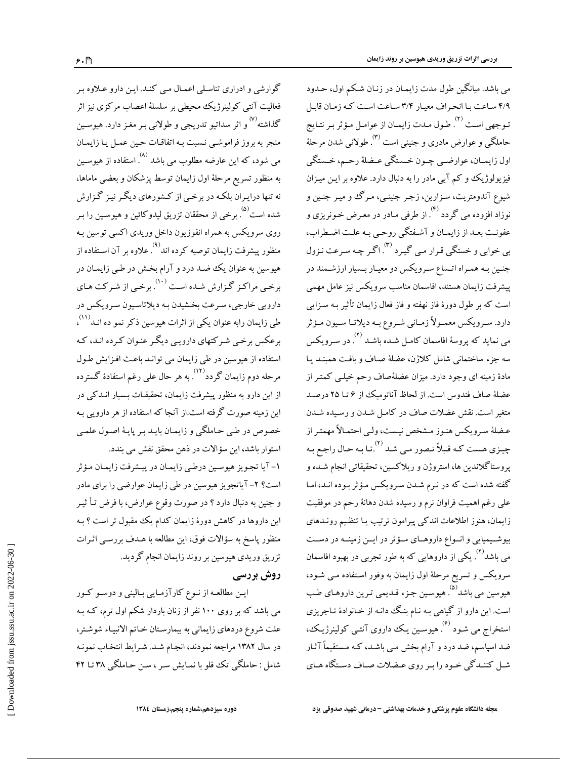می باشد. میانگین طول مدت زایمـان در زنـان شـكم اول، حـدود ۴/۹ ساعت با انحراف معیار ۳/۴ ساعت است کـه زمـان قابـل تـوجهي است <sup>(٢)</sup>. طـول مـدت زايمـان از عوامـل مـؤثر بـر نتـايج حاملگی و عوارض مادری و جنینی است <sup>(۳)</sup>. طولانی شدن مرحلهٔ اول زايمـان، عوارضـي چـون خـستگي عـضلهٔ رحـم، خـستگي فیزیولوژیک و کم آبی مادر را به دنبال دارد. علاوه بر ایـن میـزان شيوع آندومتريت، سـزارين، زجـر جنينـي، مـرگ و ميـر جنـين و نوزاد افزوده مي گردد <sup>(۴)</sup>. از طرفي مـادر در معـرض خـونريزي و عفونت بعـداز زايمـان و آشـفتگي روحـي بـه علـت اضـطراب، بي خوابي و خستگي قيرار مي گييرد <sup>(٣)</sup>. اگير چه سيرعت نيزول جنـین بـه همـراه اتـساع سـرویکس دو معیـار بـسیار ارزشـمند در ييشرفت زايمان هستند، افاسمان مناسب سرويكس نيز عامل مهمي است که بر طول دورهٔ فاز نهفته و فاز فعال زایمان تأثیر بـه سـزایبی دارد. سـرويكس معمـولاً زمـاني شـروع بـه ديلاتـا سـيون مـؤثر می نماید که پروسهٔ افاسمان کامـل شـده باشـد <sup>(۲)</sup>. سه جزء ساختمانی شامل کلاژن، عضلهٔ صـاف و بافـت همبنــد یــا مادهٔ زمینه ای وجود دارد. میزان عضلهٔصاف رحم خیلـی کمتـر از عضلهٔ صاف فندوس است. از لحاظ آناتومیک از ۶ تـا ۲۵ درصـد .<br>متغیر است. نقش عضلات صاف در کامـل شـدن و رسـیده شـدن عـضلهٔ سـرویکس هنـوز مـشخص نیـست، ولـی احتمـالاً مهمتـر از چیـزي هـست کـه قـبلاً تـصور مـي شـد <sup>(٢)</sup>.تـا بـه حـال راجـع بـه یروستاگلاندین ها، استروژن و ریلاکسین، تحقیقاتی انجام شـده و گفته شده است که در نـرم شـدن سـرویکس مـؤثر بـوده انـد، امـا علی رغم اهمیت فراوان نرم و رسیده شدن دهانهٔ رحم در موفقیت زایمان، هنوز اطلاعات اندکی پیرامون ترتیب یـا تنظـیم رونــدهای بیوشـیمیایی و انـواع داروهـای مـؤثر در ایـن زمینـه در دسـت می باشد<sup>(۲)</sup>. یکی از داروهایی که به طور تجربی در بهبود افاسمان سرویکس و تسریع مرحلهٔ اول زایمان به وفور استفاده مـی شـود، هيوسين مي باشد<sup>ه.</sup> هيوسـين جـزء قـديمي تـرين داروهـاي طـب است. این دارو از گیاهی بـه نـام بنـگ دانـه از خـانوادهٔ تـاجریزی استخراج می شـود <sup>(۶)</sup>. هیوسـین یـک داروی آنتـی کولینرژیـک، ضد اسپاسم، ضد درد و آرام بخش مـی باشـد، کـه مـستقیماً آثـار شبل کننیدگی خبود را بیر روی عیضلات صیاف دستگاه هیای

گوارشی و ادراری تناسلی اعمال می کند. این دارو علاوه بر فعالیت آنتی کولینرژیک محیطی بر سلسلهٔ اعصاب مرکزی نیز اثر گذاشته<sup>۷۷</sup> و اثر سداتیو تدریجی و طولانی بـر مغـز دارد. هیوسـین منجر به بروز فراموشی نسبت بـه اتفاقـات حـین عمـل یـا زایمـان می شود، که این عارضه مطلوب می باشد <sup>(۸)</sup> .استفاده از هیوسـین به منظور تسریع مرحلهٔ اول زایمان توسط پزشکان و بعضی ماماها، نه تنها درایـران بلکـه در برخـی از کـشورهای دیگـر نیـز گـزارش شده است<sup>(۵)</sup> . برخی از محققان تزریق لیدوکائین و هیوسـین را بـر روی سرویکس به همراه انفوزیون داخل وریدی اکسی توسین بـه منظور پیشرفت زایمان توصیه کرده اند° . علاوه بر آن استفاده از هیوسین به عنوان یک ضـد درد و آرام بخـش در طـی زایمـان در برخی مراکز گزارش شـده اسـت <sup>(۱۰)</sup> برخـی از شـرکت هـای دارويي خارجي، سرعت بخشيدن بـه ديلاتاسـيون سـرويكس در طی زایمان رابه عنوان یکی از اثرات هیوسین ذکر نمو ده انــد<sup>(۱۱)</sup>، برعکس برخی شرکتهای دارویی دیگر عنوان کرده انـد، کـه استفاده از هیوسین در طی زایمان می توانـد باعـث افـزایش طـول مرحله دوم زایمان گردد<sup>(۱۲)</sup>. به هر حال عل<sub>ی</sub> رغم استفادهٔ گسترده از این دارو به منظور پیشرفت زایمان، تحقیقـات بـسیار انــدکی در این زمینه صورت گرفته است.از آنجا که استفاده از هر دارویی بـه خصوص در طبي حـاملگي و زايمـان بايـد بـر پايـهٔ اصـول علمـي استوار باشد، این سؤالات در ذهن محقق نقش می بندد.

۱- آیا تجویز هیوسین درطبی زایمـان در پیـشرفت زایمـان مـؤثر است؟ ۲- آیاتجویز هیوسین در طی زایمان عوارضی را برای مادر و جنين به دنبال دارد ؟ در صورت وقوع عوارض، با فرض تـأ ثيـر این داروها در کاهش دورهٔ زایمان کدام یک مقبول تر است ؟ بـه منظور پاسخ به سؤالات فوق، این مطالعه با هـدف بررسـی اثـرات تزریق وریدی هیوسین بر روند زایمان انجام گردید.

## روش بررسی

ایــن مطالعــه از نــوع کارآزمــایی بــالینی و دوســو کــور می باشد که بر روی ۱۰۰ نفر از زنان باردار شکم اول ترم، کـه بـه علت شروع دردهاي زايماني به بيمارستان خـاتم الانبيـاء شوشـتر، در سال ۱۳۸۲ مراجعه نمودند، انجـام شـد. شـرايط انتخـاب نمونـه شامل : حاملگی تک قلو یا نمـایش سـر ، سـن حـاملگی ۳۸ تـا ۴۲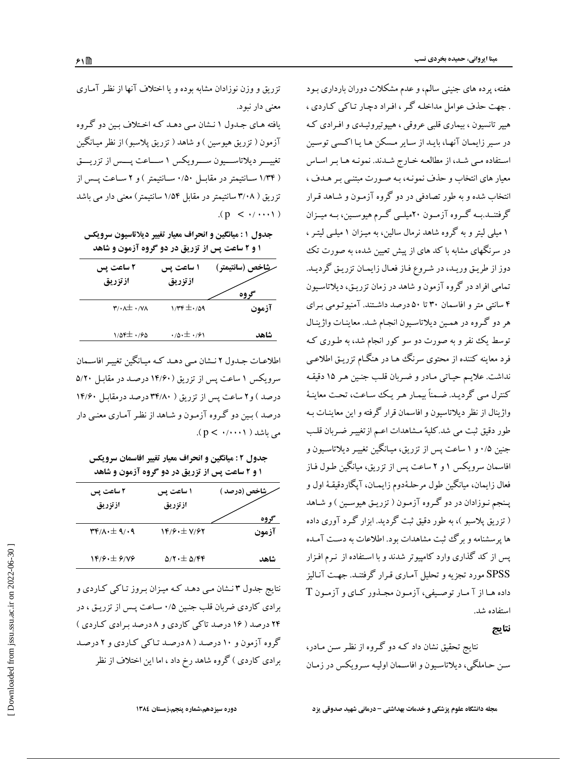هفته، پرده های جنینی سالم، و عدم مشکلات دوران بارداری بـود . جهت حذف عوامل مداخله گر ، افراد دچار تاکی کاردی ، هیپر تانسیون ، بیماری قلبی عروقی ، هیپوتیروئیـدی و افـرادی کـه در سیر زایمان آنها، بایـد از سـایر مـسکن هـا یـا اکـسی توسـین استفاده مـي شـد، از مطالعـه خـارج شـدند. نمونـه هـا بـر اسـاس معیار های انتخاب و حذف نمونـه، بـه صـورت مبتنـی بـر هـدف ، انتخاب شده و به طور تصادفی در دو گروه آزمـون و شـاهد قـرار گرفتنــد.بــه گــروه آزمــون ۲۰میلــی گــرم هیوســین، بــه میــزان ۱ میلی لیتر و به گروه شاهد نرمال سالین، به میـزان ۱ میلــی لیتـر ، در سرنگهای مشابه با کد های از پیش تعیین شده، به صورت تک دوز از طريق وريد، در شروع فاز فعال زايمان تزريق گرديد. تمامی افراد در گروه آزمون و شاهد در زمان تزریـق، دیلاتاسـیون ۴ سانتی متر و افاسمان ۳۰ تا ۵۰ درصد داشتند. آمنیوتومی برای هر دو گروه در همین دیلاتاسیون انجام شد. معاینـات واژینـال توسط یک نفر و به صورت دو سو کور انجام شد، به طـوری کـه فرد معاینه کننده از محتوی سرنگ ها در هنگـام تزریـق اطلاعـی نداشت. علایم حیاتی مادر و ضربان قلب جنین هر ۱۵ دقیقه كنترل مىي گرديـد. ضـمناً بيمـار هـر يـك سـاعت، تحـت معاينـهٔ واژینال از نظر دیلاتاسیون و افاسمان قرار گرفته و این معاینـات بـه طور دقیق ثبت می شد.کلیهٔ مشاهدات اعـم ازتغییـر ضـربان قلـب جنین ۰/۵ و ۱ ساعت پس از تزریق، میـانگـین تغییـر دیلاتاسـیون و افاسمان سرویکس ۱ و ۲ ساعت پس از تزریق، میانگین طـول فـاز فعال زايمان، ميانگين طول مرحلهٔدوم زايمـان، آپگاردقيقـهٔ اول و پـنجم نـوزادان در دو گـروه آزمـون ( تزريـق هيوسـين ) و شـاهد ( تزریق پلاسبو )، به طور دقیق ثبت گردید. ابزار گـرد آوری داده ها پرسشنامه و برگ ثبت مشاهدات بود. اطلاعات به دست آمـده یس از کد گذاری وارد کامپیوتر شدند و با استفاده از نـرم افـزار SPSS مورد تجزیه و تحلیل آمـاری قـرار گرفتنـد. جهـت آنـاليز داده هـا از آ مـار توصـيفي، آزمـون مجـذور كـاي و آزمـون T استفاده شد.

نتايج

نتایج تحقیق نشان داد کـه دو گـروه از نظـر سـن مـادر، سن حـاملگی، دیلاتاسـبون و افاسـمان اولیـه سـرویکس در زمـان

تزریق و وزن نوزادان مشابه بوده و یا اختلاف آنها از نظر آمـاری معنى دار نبود. یافته هـای جـدول ۱ نـشان مـی دهـد کـه اخـتلاف بـین دو گـروه آزمون ( تزریق هیوسین ) و شاهد ( تزریق پلاسبو) از نظر میـانگین

تغییسر دیلاتاسسیون سسرویکس ۱ سساعت پسس از تزریسق ( ۱/۳۴ سـانتيمتر در مقابـل ۱/۵۰ سـانتيمتر ) و ۲ سـاعت پــس از تزریق ( ۳/۰۸ سانتیمتر در مقابل ۱/۵۴ سانتیمتر) معنی دار می باشد  $(p < \cdot/\cdots)$ 

جدول ۱: میانگین و انحراف معیار تغییر دیلاتاسیون سرویکس ۱ و ۲ ساعت پس از تزریق در دو گروه آزمون و شاهد

| ۲ ساعت پس<br>ازتزريق                           | ۱ ساعت پس<br>ازتزريق                 | <b>شاخص (سانتيمتر )</b> |
|------------------------------------------------|--------------------------------------|-------------------------|
| $\mathbf{r}/\cdot\mathbf{A}\pm\cdot\mathbf{V}$ | $1/\mathsf{r}\mathsf{r} \pm 1/09$    | آزمون                   |
| $1/05 + 1/90$                                  | $\cdot$ /0 $\cdot$ $\pm$ $\cdot$ /91 | شاهد                    |

اطلاعـات جـدول ٢ نـشان مـي دهـد كـه ميـانگين تغييـر افاسـمان سرویکس ۱ ساعت پس از تزریق (۱۴/۶۰ درصد در مقابل ۵/۲۰ درصد) و۲ ساعت پس از تزریق ( ۳۴/۸۰ درصد درمقابل ۱۴/۶۰ درصد ) بین دو گروه آزمون و شاهد از نظر آماری معنبی دار می باشد ( p < · / · · · ).

جدول ۲: میانگین و انحراف معیار تغییر افاسمان سرویکس ۱ و ۲ ساعت پس از تزریق در دو گروه آزمون و شاهد

| <b>شاخص (درصد )</b><br>کو وه | ۱ ساعت پس<br>ازتزريق                   | ۲ ساعت پس<br>ازتزريق                                                         |
|------------------------------|----------------------------------------|------------------------------------------------------------------------------|
| ازمون                        | 14/6.±V/67                             | $\mathbf{r} \mathbf{r} / \mathbf{A} \cdot \pm \mathbf{A} / \cdot \mathbf{A}$ |
| شاهد                         | $\Delta$ / $\tau \cdot \pm \Delta$ /۴۴ | $\gamma$ $\gamma$ . $\pm$ $\gamma$ / $\gamma$                                |

نتایج جدول ۳ نـشان مـی دهـد کـه میـزان بـروز تـاکـی کـاردی و برادي كاردي ضربان قلب جنين ٠/٥ ساعت پس از تزريـق ، در ۲۴ درصد ( ۱۶ درصد تاکی کاردی و ۸ درصد برادی کاردی ) گروه آزمون و ۱۰ درصد ( ۸ درصد تاکی کاردی و ۲ درصد برادی کاردی ) گروه شاهد رخ داد ، اما این اختلاف از نظر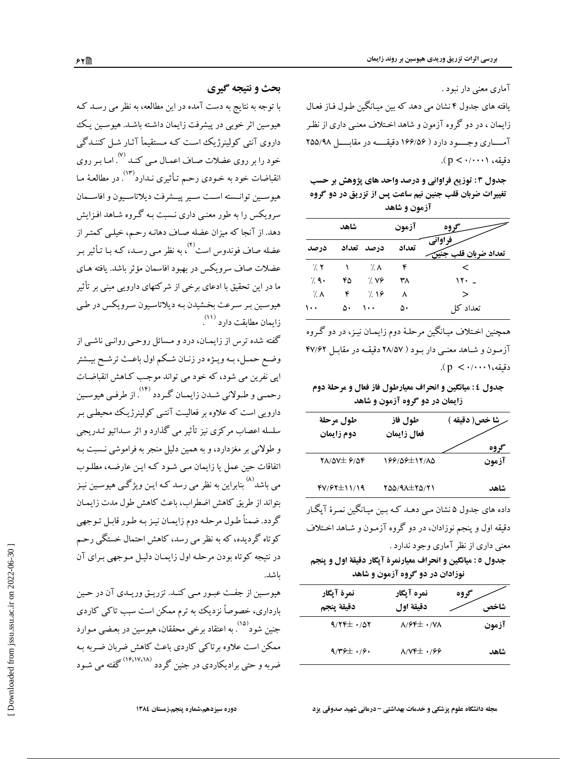آماری معنی دار نبود .

یافته های جدول ۴ نشان می دهد که بین میـانگین طـول فـاز فعـال زایمان ، در دو گروه آزمون و شاهد اخـتلاف معنـی داری از نظـر آمساری وجسود دارد ( ۱۶۶/۵۶ دقیقسه در مقابسل ۲۵۵/۹۸  $(p < \cdot / \cdot \cdot \cdot)$  دقیقه، ۱

جدول ۳ : توزیع فراوانی و درصد واحد های پژوهش بر حسب تغییرات ضربان قلب جنین نیم ساعت پس از تزریق در دو گروه آزمون و شاهد

|              | شاهد |            | آزمون<br>گډوه |                             |
|--------------|------|------------|---------------|-----------------------------|
| در صد        |      | درصد تعداد | تعداد         | فر اوانی<br>تعداد ضربان قلر |
| $\gamma$ . Y |      | 7.1        | ۴             |                             |
| 7.9.         | ۴۵   | 7.99       | ۳۸            | ۱۲۰                         |
| – 7. ∧       | ۴    | 7.19       | ٨             | ↘                           |
| $\cdots$     | ۵۰   | ۱۰۰        | ۵۰            | تعداد کا                    |

همچنین اخـتلاف میـانگین مرحلـهٔ دوم زایمـان نیـز، در دو گـروه آزمون و شاهد معنے دار بود ( ۲۸/۵۷ دقیقـه در مقابـل ۴۷/۶۲  $(p < \cdot/\cdot \cdot)$ دقىقە،

## جدول ٤ : میانگین و انحراف معیارطول فاز فعال و مرحلهٔ دوم زایمان در دو گروه آزمون و شاهد

| طول مرحلة<br>دوم زايمان                       | طول فاز<br>فعال زايمان | ِشا خص( دقيقه )<br>گروه |
|-----------------------------------------------|------------------------|-------------------------|
| $Y\Lambda/\Delta V \pm \frac{\rho}{\Delta V}$ | 199/09±11/10           | آزمون                   |
| $fV/fY \pm 11/19$                             | 100/91±10/11           | شاهد                    |
| ء 7 ھئ<br>. 2.                                | $\sim$ $\sim$          |                         |

داده های جدول ۵ نشان مـی دهـد کـه بـین میـانگین نمـرهٔ آپگـار دقیقه اول و پنجم نوزادان، در دو گروه آزمـون و شـاهد اخـتلاف معنی داری از نظر آماری وجود ندارد .

جدول ٥ : ميانگين و انحراف معيارنمرة آپگار دقيقة اول و پنجم نوزادان در دو گروه آزمون و شاهد

|       | نمره آيگار<br>گروه                               | نمرة آيگار      |
|-------|--------------------------------------------------|-----------------|
| شاخص  | دقيقة اول                                        | دقيقة ينجم      |
| آزمون | $\lambda$ / $\epsilon$ $\pm$ $\cdot$ / $\lambda$ | $9/77 \pm 1/07$ |
| شاهد  | $\lambda/\Upsilon f \pm \cdot 199$               | $9/79 \pm 1/9$  |

مجله دانشگاه علوم پزشکی و خدمات بهداشتی - درمانی شهید صدوقی یزد

## بحث و نتیجه گیری

با توجه به نتایج به دست آمده در این مطالعه، به نظر می رسـد کـه هیوسین اثر خوبی در پیشرفت زایمان داشته باشـد. هیوسـین یـک داروی آنتی کولینرژیک است کـه مـستقیمأ آثـار شـل کننـدگی خود را بر روی عضلات صـاف اعمـال مـی کنـد <sup>(۷)</sup>. انقباضات خود به خـودي رحـم تـأثيري نـدارد° . در مطالعـهٔ مـا هيوسـين توانـسته اسـت سـير ييــشرفت ديلاتاسـيون و افاســمان سرویکس را به طور معنبی داری نـسبت بـه گـروه شـاهد افـزایش دهد. از آنجا که میزان عضله صـاف دهانـه رحـم، خیلـی کمتـر از عضله صاف فوندوس است<sup>(۲)</sup>، به نظر مبی رسـد، کـه بـا تـأثیر بـر عضلات صاف سرويكس در بهبود افاسمان مؤثر باشد. يافته هـاي ما در این تحقیق با ادعای برخی از شرکتهای دارویی مبنی بر تأثیر هیوسین بر سرعت بخشیدن بـه دیلاتاسـیون سـرویکس در طـي زايمان مطابقت دارد (۱۱)

گفته شده ترس از زایمـان، درد و مـسائل روحـی روانـی ناشـی از وضع حمـل، بـه ويـژه در زنـان شـكم اول باعـث ترشـح بيـشتر اپی نفرین می شود، که خود می تواند موجب کـاهش انقباضـات رحمـي و طـولاني شـدن زايمـان گـردد ۱۴<sup>۰)</sup>. از طرفـي هيوسـين دارویی است که علاوه بر فعالیت آنتبی کولینرژیک محیطبی بـر سلسله اعصاب مرکزی نیز تأثیر می گذارد و اثر سـداتیو تـدریجی و طولانی بر مغزدارد، و به همین دلیل منجر به فراموشی نـسبت بـه اتفاقات حین عمل یا زایمان مبی شـود کـه ایـن عارضـه، مطلـوب مي باشد<sup>(۸)</sup> بنابراين به نظر مي رسد كـه ايـن ويژگــي هيوسـين نيـز بتواند از طريق كاهش اضطراب، باعث كاهش طول مدت زايمـان گردد. ضمناً طول مرحله دوم زایمان نیز به طور قابل توجهی کوتاه گردیده، که به نظر می رسد، کاهش احتمال خستگی رحم در نتیجه کوتاه بودن مرحله اول زایمان دلیل مـوجهی بـرای آن ىاشد.

هیوسین از جفت عبـور مـي كنـد. تزريـق وريـدي آن در حـين بارداری، خصوصاً نزدیک به ترم ممکن است سبب تاکی کاردی جنین شود<sup>(۱۵)</sup>. به اعتقاد برخی محققان، هیوسین در بعـضی مـوارد ممکن است علاوه برتاکی کاردی باعث کاهش ضربان ضربه بـه ضربه و حتی برادیکاردی در جنین گردد <sup>(۱۶،۱۷،۱۸)</sup> گفته می شـود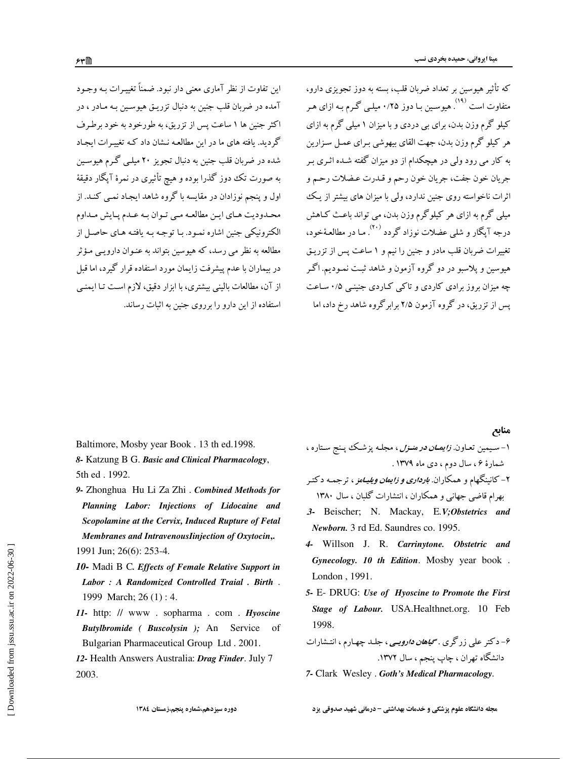که تأثیر هیوسین بر تعداد ضربان قلب، بسته به دوز تجویزی دارو، متفاوت است <sup>(۱۹)</sup>. هیوسـین بـا دوز ۰/۲۵ میلـی گـرم بـه ازای هـر کیلو گرم وزن بدن، برای بی دردی و با میزان ۱ میلی گرم به ازای هر کيلو گرم وزن بدن، جهت القاي بيهوشي بـراي عمـل سـزارين به کار می رود ولی در هیچکدام از دو میزان گفته شـده اثـری بـر جريان خون جفت، جريان خون رحم و قـدرت عـضلات رحـم و اثرات ناخواسته روی جنین ندارد، ولی با میزان های بیشتر از یک میلی گرم به ازای هر کیلوگرم وزن بدن، می تواند باعث کـاهش درجه آیگار و شلم عضلات نوزاد گردد <sup>(۲۰)</sup>. ما در مطالعهٔخود، .<br>تغییرات ضربان قلب مادر و جنین را نیم و ۱ ساعت پس از تزریـق هیوسین و یلاسبو در دو گروه آزمون و شاهد ثبت نمـودیم. اگـر چه میزان بروز برادی کاردی و تاکبی کباردی جنینبی ۰/۵ ساعت پس از تزریق، در گروه آزمون ۲/۵ برابرگروه شاهد رخ داد، اما

منابع

Baltimore, Mosby year Book . 13 th ed.1998.

8- Katzung B G. Basic and Clinical Pharmacology, 5th ed. 1992.

این تفاوت از نظر آماری معنی دار نبود. ضمناً تغییـرات بـه وجـود

آمده در ضربان قلب جنین به دنبال تزریـق هیوسـین بـه مـادر ، در

اکثر جنین ها ۱ ساعت پس از تزریق، به طورخود به خود برطرف

گردید. یافته های ما در این مطالعه نـشان داد کـه تغییـرات ایجـاد شده در ضربان قلب جنین به دنبال تجویز ۲۰ میلـی گـرم هیوسـین

به صورت تک دوز گذرا بوده و هیچ تأثیری در نمرهٔ آپگار دقیقهٔ

اول و پنجم نوزادان در مقایسه با گروه شاهد ایجـاد نمـی کنـد. از

محـدوديت هـاي ايـن مطالعـه مـي تـوان بـه عـدم يـايش مـداوم

الکترونیکی جنین اشاره نمـود. بـا توجـه بـه یافتـه هـای حاصـل از

مطالعه به نظر مے رسد، که هیوسین پتواند به عنبوان دارویے مؤثر در بیماران با عدم پیشرفت زایمان مورد استفاده قرار گیرد، اما قبل

از آن، مطالعات بالینی بیشتری، با ابزار دقیق، لازم است تـا ایمنـی

استفاده از این دارو را برروی جنین به اثبات رساند.

- 9- Zhonghua Hu Li Za Zhi . Combined Methods for Planning Labor: Injections of Lidocaine and Scopolamine at the Cervix, Induced Rupture of Fetal Membranes and IntravenousIinjection of Oxytocin,. 1991 Jun; 26(6): 253-4.
- 10- Madi B C. Effects of Female Relative Support in Labor: A Randomized Controlled Traial . Birth. 1999 March; 26 (1) : 4.
- 11- http: // www. sopharma.com. Hyoscine Butylbromide (Buscolysin); An Service Bulgarian Pharmaceutical Group Ltd. 2001.
- 12- Health Answers Australia: Drag Finder. July 7 2003.
- ۱– سـیمین تعـاون. *زایمــان در منــزل* ، مجلــه پزشــک پــنج ســتاره ، شمارهٔ ۶، سال دوم، دی ماه ۱۳۷۹ .
- ۲– کانینگهام و همکاران. *بارداری و زایمان ویلیـامز* ، ترجمـه دکتـر بهرام قاضی جهانی و همکاران ، انتشارات گلبان ، سال ۱۳۸۰
- 3- Beischer; N. Mackay, E.V;Obstetrics and Newborn. 3 rd Ed. Saundres co. 1995.
- 4- Willson J. R. Carrinytone. Obstetric and Gynecology. 10 th Edition. Mosby year book. London . 1991.
- 5- E- DRUG: Use of Hyoscine to Promote the First Stage of Labour. USA.Healthnet.org. 10 Feb 1998.
- ۶– دکتر علی زرگری . *گیاه<i>ان دارویـی* **،** جلـد چهـارم ، انتـشارات دانشگاه تهران ، چاپ پنجم ، سال ۱۳۷۲.

7- Clark Wesley . Goth's Medical Pharmacology.

دوره سيزدهم،شماره ينجم،زمستان ١٣٨٤